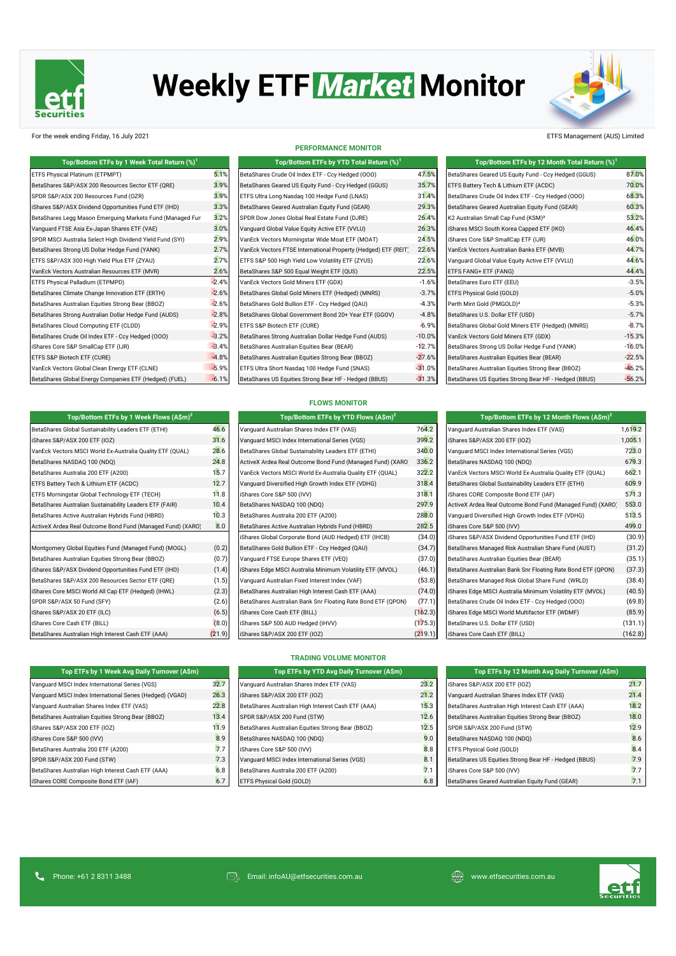

# **Weekly ETF Market Monitor**

### For the week ending Friday, 16 July 2021 ETFS Management (AUS) Limited

| Top/Bottom ETFs by 1 Week Total Return (%) <sup>1</sup>   |         | Top/Bottom ETFs by YTD Total Return (%) <sup>1</sup>           |          | Top/Bottom ETFs by 12 Month Total Return (%) <sup>1</sup> |          |  |  |
|-----------------------------------------------------------|---------|----------------------------------------------------------------|----------|-----------------------------------------------------------|----------|--|--|
| ETFS Physical Platinum (ETPMPT)                           | 5.1%    | BetaShares Crude Oil Index ETF - Ccy Hedged (000)              | 47.5%    | BetaShares Geared US Equity Fund - Ccy Hedged (GGUS)      | 87.0%    |  |  |
| BetaShares S&P/ASX 200 Resources Sector ETF (QRE)         | 3.9%    | BetaShares Geared US Equity Fund - Ccy Hedged (GGUS)           | 35.7%    | ETFS Battery Tech & Lithium ETF (ACDC)                    | 70.0%    |  |  |
| SPDR S&P/ASX 200 Resources Fund (OZR)                     | 3.9%    | ETFS Ultra Long Nasdaq 100 Hedge Fund (LNAS)                   | 31.4%    | BetaShares Crude Oil Index ETF - Ccy Hedged (000)         | 68.3%    |  |  |
| iShares S&P/ASX Dividend Opportunities Fund ETF (IHD)     | 3.3%    | BetaShares Geared Australian Equity Fund (GEAR)                | 29.3%    | BetaShares Geared Australian Equity Fund (GEAR)           | 60.3%    |  |  |
| BetaShares Legg Mason Emerguing Markets Fund (Managed Fun | 3.2%    | SPDR Dow Jones Global Real Estate Fund (DJRE)                  | 26.4%    | K2 Australian Small Cap Fund (KSM) <sup>3</sup>           | 53.2%    |  |  |
| Vanquard FTSE Asia Ex-Japan Shares ETF (VAE)              | 3.0%    | Vanguard Global Value Equity Active ETF (VVLU)                 | 26.3%    | iShares MSCI South Korea Capped ETF (IKO)                 | 46.4%    |  |  |
| SPDR MSCI Australia Select High Dividend Yield Fund (SYI) | 2.9%    | VanEck Vectors Morningstar Wide Moat ETF (MOAT)                | 24.5%    | iShares Core S&P SmallCap ETF (IJR)                       | 46.0%    |  |  |
| BetaShares Strong US Dollar Hedge Fund (YANK)             | 2.7%    | VanEck Vectors FTSE International Property (Hedged) ETF (REIT) | 22.6%    | VanEck Vectors Australian Banks ETF (MVB)                 | 44.7%    |  |  |
| ETFS S&P/ASX 300 High Yield Plus ETF (ZYAU)               | 2.7%    | ETFS S&P 500 High Yield Low Volatility ETF (ZYUS)              | 22.6%    | Vanguard Global Value Equity Active ETF (VVLU)            | 44.6%    |  |  |
| VanEck Vectors Australian Resources ETF (MVR)             | 2.6%    | BetaShares S&P 500 Equal Weight ETF (QUS)                      | 22.5%    | ETFS FANG+ ETF (FANG)                                     | 44.4%    |  |  |
| ETFS Physical Palladium (ETPMPD)                          | $-2.4%$ | VanEck Vectors Gold Miners ETF (GDX)                           | $-1.6%$  | BetaShares Euro ETF (EEU)                                 | $-3.5%$  |  |  |
| BetaShares Climate Change Innovation ETF (ERTH)           | $-2.6%$ | BetaShares Global Gold Miners ETF (Hedged) (MNRS)              | $-3.7%$  | ETFS Physical Gold (GOLD)                                 | $-5.0%$  |  |  |
| BetaShares Australian Equities Strong Bear (BBOZ)         | $-2.6%$ | BetaShares Gold Bullion ETF - Ccy Hedged (QAU)                 | $-4.3%$  | Perth Mint Gold (PMGOLD) <sup>3</sup>                     | $-5.3%$  |  |  |
| BetaShares Strong Australian Dollar Hedge Fund (AUDS)     | $-2.8%$ | BetaShares Global Government Bond 20+ Year ETF (GGOV)          | $-4.8%$  | BetaShares U.S. Dollar ETF (USD)                          | $-5.7%$  |  |  |
| BetaShares Cloud Computing ETF (CLDD)                     | $-2.9%$ | ETFS S&P Biotech ETF (CURE)                                    | $-6.9%$  | BetaShares Global Gold Miners ETF (Hedged) (MNRS)         | $-8.7%$  |  |  |
| BetaShares Crude Oil Index ETF - Ccy Hedged (000)         | $-3.2%$ | BetaShares Strong Australian Dollar Hedge Fund (AUDS)          | $-10.0%$ | VanEck Vectors Gold Miners ETF (GDX)                      | $-15.3%$ |  |  |
| iShares Core S&P SmallCap ETF (IJR)                       | $-3.4%$ | BetaShares Australian Equities Bear (BEAR)                     | $-12.7%$ | BetaShares Strong US Dollar Hedge Fund (YANK)             | $-16.0%$ |  |  |
| ETFS S&P Biotech ETF (CURE)                               | $-4.8%$ | BetaShares Australian Equities Strong Bear (BBOZ)              | $-27.6%$ | BetaShares Australian Equities Bear (BEAR)                | $-22.5%$ |  |  |
| VanEck Vectors Global Clean Energy ETF (CLNE)             | $-5.9%$ | ETFS Ultra Short Nasdaq 100 Hedge Fund (SNAS)                  | $-31.0%$ | BetaShares Australian Equities Strong Bear (BBOZ)         | $-46.2%$ |  |  |
| BetaShares Global Energy Companies ETF (Hedged) (FUEL)    | $-6.1%$ | BetaShares US Equities Strong Bear HF - Hedged (BBUS)          | $-31.3%$ | BetaShares US Equities Strong Bear HF - Hedged (BBUS)     | $-56.2%$ |  |  |

#### **PERFORMANCE MONITOR**

| Top/Bottom ETFs by 1 Week Total Return (%) $^{\rm 1}$ |         | Top/Bottom ETFs by YTD Total Return $(\%)^1$                   |          | Top/Bottom ETFs by 12 Month Total Return (%)          |
|-------------------------------------------------------|---------|----------------------------------------------------------------|----------|-------------------------------------------------------|
| al Platinum (ETPMPT)                                  | 5.1%    | BetaShares Crude Oil Index ETF - Ccy Hedged (000)              | 47.5%    | BetaShares Geared US Equity Fund - Ccy Hedged (GGUS)  |
| S&P/ASX 200 Resources Sector ETF (QRE)                | 3.9%    | BetaShares Geared US Equity Fund - Ccy Hedged (GGUS)           | 35.7%    | ETFS Battery Tech & Lithium ETF (ACDC)                |
| <b>ASX 200 Resources Fund (OZR)</b>                   | 3.9%    | ETFS Ultra Long Nasdaq 100 Hedge Fund (LNAS)                   | 31.4%    | BetaShares Crude Oil Index ETF - Ccy Hedged (000)     |
| /ASX Dividend Opportunities Fund ETF (IHD)            | 3.3%    | BetaShares Geared Australian Equity Fund (GEAR)                | 29.3%    | BetaShares Geared Australian Equity Fund (GEAR)       |
| Legg Mason Emerguing Markets Fund (Managed Fun        | 3.2%    | SPDR Dow Jones Global Real Estate Fund (DJRE)                  | 26.4%    | K2 Australian Small Cap Fund (KSM) <sup>3</sup>       |
| TSE Asia Ex-Japan Shares ETF (VAE)                    | 3.0%    | Vanguard Global Value Equity Active ETF (VVLU)                 | 26.3%    | iShares MSCI South Korea Capped ETF (IKO)             |
| Australia Select High Dividend Yield Fund (SYI)       | 2.9%    | VanEck Vectors Morningstar Wide Moat ETF (MOAT)                | 24.5%    | iShares Core S&P SmallCap ETF (IJR)                   |
| Strong US Dollar Hedge Fund (YANK)                    | 2.7%    | VanEck Vectors FTSE International Property (Hedged) ETF (REIT) | 22.6%    | VanEck Vectors Australian Banks ETF (MVB)             |
| <b>SX 300 High Yield Plus ETF (ZYAU)</b>              | 2.7%    | ETFS S&P 500 High Yield Low Volatility ETF (ZYUS)              | 22.6%    | Vanguard Global Value Equity Active ETF (VVLU)        |
| tors Australian Resources ETF (MVR)                   | 2.6%    | BetaShares S&P 500 Equal Weight ETF (QUS)                      | 22.5%    | ETFS FANG+ ETF (FANG)                                 |
| al Palladium (ETPMPD)                                 | $-2.4%$ | VanEck Vectors Gold Miners ETF (GDX)                           | $-1.6%$  | BetaShares Euro ETF (EEU)                             |
| Climate Change Innovation ETF (ERTH)                  | $-2.6%$ | BetaShares Global Gold Miners ETF (Hedged) (MNRS)              | $-3.7%$  | ETFS Physical Gold (GOLD)                             |
| Australian Equities Strong Bear (BBOZ)                | $-2.6%$ | BetaShares Gold Bullion ETF - Ccy Hedged (QAU)                 | $-4.3%$  | Perth Mint Gold (PMGOLD) <sup>3</sup>                 |
| Strong Australian Dollar Hedge Fund (AUDS)            | $-2.8%$ | BetaShares Global Government Bond 20+ Year ETF (GGOV)          | $-4.8%$  | BetaShares U.S. Dollar ETF (USD)                      |
| Cloud Computing ETF (CLDD)                            | $-2.9%$ | ETFS S&P Biotech ETF (CURE)                                    | $-6.9%$  | BetaShares Global Gold Miners ETF (Hedged) (MNRS)     |
| Crude Oil Index ETF - Ccy Hedged (OOO)                | $-3.2%$ | BetaShares Strong Australian Dollar Hedge Fund (AUDS)          | $-10.0%$ | VanEck Vectors Gold Miners ETF (GDX)                  |
| e S&P SmallCap ETF (IJR)                              | $-3.4%$ | BetaShares Australian Equities Bear (BEAR)                     | $-12.7%$ | BetaShares Strong US Dollar Hedge Fund (YANK)         |
| iotech ETF (CURE)                                     | $-4.8%$ | BetaShares Australian Equities Strong Bear (BBOZ)              | $-27.6%$ | BetaShares Australian Equities Bear (BEAR)            |
| tors Global Clean Energy ETF (CLNE)                   | $-5.9%$ | ETFS Ultra Short Nasdag 100 Hedge Fund (SNAS)                  | $-31.0%$ | BetaShares Australian Equities Strong Bear (BBOZ)     |
| Global Energy Companies ETF (Hedged) (FUEL)           | $-6.1%$ | BetaShares US Equities Strong Bear HF - Hedged (BBUS)          | $-31.3%$ | BetaShares US Equities Strong Bear HF - Hedged (BBUS) |
|                                                       |         |                                                                |          |                                                       |

| Top/Bottom ETFs by 1 Week Total Return (%) <sup>1</sup>   |         | Top/Bottom ETFs by YTD Total Return (%) <sup>1</sup>           |          | Top/Bottom ETFs by 12 Month Total Return (%) <sup>1</sup> |          |
|-----------------------------------------------------------|---------|----------------------------------------------------------------|----------|-----------------------------------------------------------|----------|
| ETFS Physical Platinum (ETPMPT)                           | 5.1%    | BetaShares Crude Oil Index ETF - Ccy Hedged (000)              | 47.5%    | BetaShares Geared US Equity Fund - Ccy Hedged (GGUS)      | 87.0%    |
| BetaShares S&P/ASX 200 Resources Sector ETF (QRE)         | 3.9%    | BetaShares Geared US Equity Fund - Ccy Hedged (GGUS)           | 35.7%    | ETFS Battery Tech & Lithium ETF (ACDC)                    | 70.0%    |
| SPDR S&P/ASX 200 Resources Fund (OZR)                     | 3.9%    | ETFS Ultra Long Nasdag 100 Hedge Fund (LNAS)                   | 31.4%    | BetaShares Crude Oil Index ETF - Ccy Hedged (000)         | 68.3%    |
| iShares S&P/ASX Dividend Opportunities Fund ETF (IHD)     | 3.3%    | BetaShares Geared Australian Equity Fund (GEAR)                | 29.3%    | BetaShares Geared Australian Equity Fund (GEAR)           | 60.3%    |
| BetaShares Legg Mason Emerguing Markets Fund (Managed Fun | 3.2%    | SPDR Dow Jones Global Real Estate Fund (DJRE)                  | 26.4%    | K2 Australian Small Cap Fund (KSM) <sup>3</sup>           | 53.2%    |
| Vanguard FTSE Asia Ex-Japan Shares ETF (VAE)              | 3.0%    | Vanguard Global Value Equity Active ETF (VVLU)                 | 26.3%    | iShares MSCI South Korea Capped ETF (IKO)                 | 46.4%    |
| SPDR MSCI Australia Select High Dividend Yield Fund (SYI) | 2.9%    | VanEck Vectors Morningstar Wide Moat ETF (MOAT)                | 24.5%    | iShares Core S&P SmallCap ETF (IJR)                       | 46.0%    |
| BetaShares Strong US Dollar Hedge Fund (YANK)             | 2.7%    | VanEck Vectors FTSE International Property (Hedged) ETF (REIT) | 22.6%    | VanEck Vectors Australian Banks ETF (MVB)                 | 44.7%    |
| ETFS S&P/ASX 300 High Yield Plus ETF (ZYAU)               | 2.7%    | ETFS S&P 500 High Yield Low Volatility ETF (ZYUS)              | 22.6%    | Vanguard Global Value Equity Active ETF (VVLU)            | 44.6%    |
| VanEck Vectors Australian Resources ETF (MVR)             | 2.6%    | BetaShares S&P 500 Equal Weight ETF (QUS)                      | 22.5%    | ETFS FANG+ ETF (FANG)                                     | 44.4%    |
| ETFS Physical Palladium (ETPMPD)                          | $-2.4%$ | VanEck Vectors Gold Miners ETF (GDX)                           | $-1.6%$  | BetaShares Euro ETF (EEU)                                 | $-3.5%$  |
| BetaShares Climate Change Innovation ETF (ERTH)           | $-2.6%$ | BetaShares Global Gold Miners ETF (Hedged) (MNRS)              | $-3.7%$  | ETFS Physical Gold (GOLD)                                 | $-5.0%$  |
| BetaShares Australian Equities Strong Bear (BBOZ)         | $-2.6%$ | BetaShares Gold Bullion ETF - Ccy Hedged (QAU)                 | $-4.3%$  | Perth Mint Gold (PMGOLD) <sup>3</sup>                     | $-5.3%$  |
| BetaShares Strong Australian Dollar Hedge Fund (AUDS)     | $-2.8%$ | BetaShares Global Government Bond 20+ Year ETF (GGOV)          | $-4.8%$  | BetaShares U.S. Dollar ETF (USD)                          | $-5.7%$  |
| BetaShares Cloud Computing ETF (CLDD)                     | $-2.9%$ | ETFS S&P Biotech ETF (CURE)                                    | $-6.9%$  | BetaShares Global Gold Miners ETF (Hedged) (MNRS)         | $-8.7%$  |
| BetaShares Crude Oil Index ETF - Ccy Hedged (000)         | $-3.2%$ | BetaShares Strong Australian Dollar Hedge Fund (AUDS)          | $-10.0%$ | VanEck Vectors Gold Miners ETF (GDX)                      | $-15.3%$ |
| iShares Core S&P SmallCap ETF (IJR)                       | $-3.4%$ | BetaShares Australian Equities Bear (BEAR)                     | $-12.7%$ | BetaShares Strong US Dollar Hedge Fund (YANK)             | $-16.0%$ |
| ETFS S&P Biotech ETF (CURE)                               | $-4.8%$ | BetaShares Australian Equities Strong Bear (BBOZ)              | $-27.6%$ | BetaShares Australian Equities Bear (BEAR)                | $-22.5%$ |
| VanEck Vectors Global Clean Energy ETF (CLNE)             | $-5.9%$ | ETFS Ultra Short Nasdaq 100 Hedge Fund (SNAS)                  | $-31.0%$ | BetaShares Australian Equities Strong Bear (BBOZ)         | $-46.2%$ |
| BetaShares Global Energy Companies ETF (Hedged) (FUEL)    | $-6.1%$ | BetaShares US Equities Strong Bear HF - Hedged (BBUS)          | $-31.3%$ | BetaShares US Equities Strong Bear HF - Hedged (BBUS)     | $-56.2%$ |

## **FLOWS MONITOR**

| Top/Bottom ETFs by 1 Week Flows $(A\sin)^2$                |        | Top/Bottom ETFs by YTD Flows (A\$m) <sup>2</sup>             | Top/Bottom ETFs by 12 Month Flows $(A\sin)^2$ |                                                              |         |  |
|------------------------------------------------------------|--------|--------------------------------------------------------------|-----------------------------------------------|--------------------------------------------------------------|---------|--|
| BetaShares Global Sustainability Leaders ETF (ETHI)        | 46.6   | Vanguard Australian Shares Index ETF (VAS)                   | 764.2                                         | Vanguard Australian Shares Index ETF (VAS)                   | 1,619.2 |  |
| iShares S&P/ASX 200 ETF (IOZ)                              | 31.6   | Vanguard MSCI Index International Series (VGS)               | 399.2                                         | iShares S&P/ASX 200 ETF (IOZ)                                | 1,005.1 |  |
| VanEck Vectors MSCI World Ex-Australia Quality ETF (QUAL)  | 28.6   | BetaShares Global Sustainability Leaders ETF (ETHI)          | 340.0                                         | Vanguard MSCI Index International Series (VGS)               | 723.0   |  |
| BetaShares NASDAQ 100 (NDQ)                                | 24.8   | ActiveX Ardea Real Outcome Bond Fund (Managed Fund) (XARO)   | 336.2                                         | BetaShares NASDAQ 100 (NDQ)                                  | 679.3   |  |
| BetaShares Australia 200 ETF (A200)                        | 15.7   | VanEck Vectors MSCI World Ex-Australia Quality ETF (QUAL)    | 322.2                                         | VanEck Vectors MSCI World Ex-Australia Quality ETF (QUAL)    | 662.1   |  |
| ETFS Battery Tech & Lithium ETF (ACDC)                     | 12.7   | Vanguard Diversified High Growth Index ETF (VDHG)            | 318.4                                         | BetaShares Global Sustainability Leaders ETF (ETHI)          | 609.9   |  |
| ETFS Morningstar Global Technology ETF (TECH)              | 11.8   | iShares Core S&P 500 (IVV)                                   | 318.1                                         | iShares CORE Composite Bond ETF (IAF)                        | 571.3   |  |
| BetaShares Australian Sustainability Leaders ETF (FAIR)    | 10.4   | BetaShares NASDAQ 100 (NDQ)                                  | 297.9                                         | ActiveX Ardea Real Outcome Bond Fund (Managed Fund) (XARO)   | 553.0   |  |
| BetaShares Active Australian Hybrids Fund (HBRD)           | 10.3   | BetaShares Australia 200 ETF (A200)                          | 288.0                                         | Vanguard Diversified High Growth Index ETF (VDHG)            | 513.5   |  |
| ActiveX Ardea Real Outcome Bond Fund (Managed Fund) (XARO) | 8.0    | BetaShares Active Australian Hybrids Fund (HBRD)             | 282.5                                         | iShares Core S&P 500 (IVV)                                   | 499.0   |  |
|                                                            |        | iShares Global Corporate Bond (AUD Hedged) ETF (IHCB)        | (34.0)                                        | iShares S&P/ASX Dividend Opportunities Fund ETF (IHD)        | (30.9)  |  |
| Montgomery Global Equities Fund (Managed Fund) (MOGL)      | (0.2)  | BetaShares Gold Bullion ETF - Ccy Hedged (QAU)               | (34.7)                                        | BetaShares Managed Risk Australian Share Fund (AUST)         | (31.2)  |  |
| BetaShares Australian Equities Strong Bear (BBOZ)          | (0.7)  | Vanguard FTSE Europe Shares ETF (VEQ)                        | (37.0)                                        | BetaShares Australian Equities Bear (BEAR)                   | (35.1)  |  |
| iShares S&P/ASX Dividend Opportunities Fund ETF (IHD)      | (1.4)  | iShares Edge MSCI Australia Minimum Volatility ETF (MVOL)    | (46.1)                                        | BetaShares Australian Bank Snr Floating Rate Bond ETF (QPON) | (37.3)  |  |
| BetaShares S&P/ASX 200 Resources Sector ETF (QRE)          | (1.5)  | Vanguard Australian Fixed Interest Index (VAF)               | (53.8)                                        | BetaShares Managed Risk Global Share Fund (WRLD)             | (38.4)  |  |
| iShares Core MSCI World All Cap ETF (Hedged) (IHWL)        | (2.3)  | BetaShares Australian High Interest Cash ETF (AAA)           | (74.0)                                        | iShares Edge MSCI Australia Minimum Volatility ETF (MVOL)    | (40.5)  |  |
| SPDR S&P/ASX 50 Fund (SFY)                                 | (2.6)  | BetaShares Australian Bank Snr Floating Rate Bond ETF (QPON) | (77.1)                                        | BetaShares Crude Oil Index ETF - Ccy Hedged (000)            | (69.8)  |  |
| iShares S&P/ASX 20 ETF (ILC)                               | (6.5)  | iShares Core Cash ETF (BILL)                                 | (162.3)                                       | iShares Edge MSCI World Multifactor ETF (WDMF)               | (85.9)  |  |
| iShares Core Cash ETF (BILL)                               | (8.0)  | iShares S&P 500 AUD Hedged (IHVV)                            | (175.3)                                       | BetaShares U.S. Dollar ETF (USD)                             | (131.1) |  |
| BetaShares Australian High Interest Cash ETF (AAA)         | (21.9) | iShares S&P/ASX 200 ETF (IOZ)                                | (219.1)                                       | iShares Core Cash ETF (BILL)                                 | (162.8) |  |

| Top/Bottom ETFs by YTD Flows (A\$m) <sup>2</sup>             |                      | Top/Bottom ETFs by 12 Month Flows (A\$m) <sup>2</sup>        |                      |
|--------------------------------------------------------------|----------------------|--------------------------------------------------------------|----------------------|
| Vanguard Australian Shares Index ETF (VAS)                   | 764.2                | Vanguard Australian Shares Index ETF (VAS)                   | 1,619.2              |
| Vanquard MSCI Index International Series (VGS)               | 399.2                | iShares S&P/ASX 200 ETF (IOZ)                                | 1,005.1              |
| BetaShares Global Sustainability Leaders ETF (ETHI)          | 340.0                | Vanguard MSCI Index International Series (VGS)               | 723.0                |
| ActiveX Ardea Real Outcome Bond Fund (Managed Fund) (XARO)   | 336.2                | BetaShares NASDAQ 100 (NDQ)                                  | 679.3                |
| VanEck Vectors MSCI World Ex-Australia Quality ETF (QUAL)    | 322.2                | VanEck Vectors MSCI World Ex-Australia Quality ETF (QUAL)    | 662.1                |
| Vanquard Diversified High Growth Index ETF (VDHG)            | 318.4                | BetaShares Global Sustainability Leaders ETF (ETHI)          | 609.9                |
| iShares Core S&P 500 (IVV)                                   | 318.1                | iShares CORE Composite Bond ETF (IAF)                        | 571.3                |
| BetaShares NASDAQ 100 (NDQ)                                  | 297.9                | ActiveX Ardea Real Outcome Bond Fund (Managed Fund) (XARO)   | 553.0                |
| BetaShares Australia 200 ETF (A200)                          | 288.0                | Vanguard Diversified High Growth Index ETF (VDHG)            | 513.5                |
| BetaShares Active Australian Hybrids Fund (HBRD)             | 282.5                | iShares Core S&P 500 (IVV)                                   | 499.0                |
| iShares Global Corporate Bond (AUD Hedged) ETF (IHCB)        | (34.0)               | iShares S&P/ASX Dividend Opportunities Fund ETF (IHD)        | (30.9)               |
| BetaShares Gold Bullion ETF - Ccy Hedged (QAU)               | (34.7)               | BetaShares Managed Risk Australian Share Fund (AUST)         | (31.2)               |
| Vanguard FTSE Europe Shares ETF (VEQ)                        | (37.0)               | BetaShares Australian Equities Bear (BEAR)                   | (35.1)               |
| iShares Edge MSCI Australia Minimum Volatility ETF (MVOL)    | (46.1)               | BetaShares Australian Bank Snr Floating Rate Bond ETF (QPON) | (37.3)               |
| Vanquard Australian Fixed Interest Index (VAF)               | (53.8)               | BetaShares Managed Risk Global Share Fund (WRLD)             | (38.4)               |
| BetaShares Australian High Interest Cash ETF (AAA)           | (74.0)               | iShares Edge MSCI Australia Minimum Volatility ETF (MVOL)    | (40.5)               |
| BetaShares Australian Bank Snr Floating Rate Bond ETF (QPON) | (77.1)               | BetaShares Crude Oil Index ETF - Ccy Hedged (000)            | (69.8)               |
| iShares Core Cash ETF (BILL)                                 | (162.3)              | iShares Edge MSCI World Multifactor ETF (WDMF)               | (85.9)               |
| iShares S&P 500 AUD Hedged (IHVV)                            | (175.3)              | BetaShares U.S. Dollar ETF (USD)                             | (131.1)              |
|                                                              | $\sim$ $\sim$ $\sim$ |                                                              | $\sim$ $\sim$ $\sim$ |

| Top ETFs by 1 Week Avg Daily Turnover (A\$m)             |                |
|----------------------------------------------------------|----------------|
| Vanquard MSCI Index International Series (VGS)           | 32.            |
| Vanquard MSCI Index International Series (Hedged) (VGAD) | 26.            |
| Vanquard Australian Shares Index ETF (VAS)               | 22.            |
| BetaShares Australian Equities Strong Bear (BBOZ)        | 13.            |
| iShares S&P/ASX 200 ETF (IOZ)                            | 11.            |
| iShares Core S&P 500 (IVV)                               | 8.             |
| BetaShares Australia 200 ETF (A200)                      | $\overline{7}$ |
| SPDR S&P/ASX 200 Fund (STW)                              | $\overline{7}$ |
| BetaShares Australian High Interest Cash ETF (AAA)       | 6.             |
| iShares CORE Composite Bond ETF (IAF)                    | 6.             |

## **TRADING VOLUME MONITOR**

| Top ETFs by 1 Week Avg Daily Turnover (A\$m)           |      | Top ETFs by YTD Avg Daily Turnover (A\$m)          |      | Top ETFs by 12 Month Avg Daily Turnover (A\$m)        |
|--------------------------------------------------------|------|----------------------------------------------------|------|-------------------------------------------------------|
| <b>ISCI Index International Series (VGS)</b>           | 32.7 | Vanguard Australian Shares Index ETF (VAS)         | 23.2 | iShares S&P/ASX 200 ETF (IOZ)                         |
| <b>ISCI Index International Series (Hedged) (VGAD)</b> | 26.3 | iShares S&P/ASX 200 ETF (IOZ)                      | 21.2 | Vanquard Australian Shares Index ETF (VAS)            |
| ustralian Shares Index ETF (VAS)                       | 22.8 | BetaShares Australian High Interest Cash ETF (AAA) | 15.3 | BetaShares Australian High Interest Cash ETF (AAA)    |
| Australian Equities Strong Bear (BBOZ)                 | 13.4 | SPDR S&P/ASX 200 Fund (STW)                        | 12.6 | BetaShares Australian Equities Strong Bear (BBOZ)     |
| <sup>2</sup> /ASX 200 ETF (IOZ)                        | 11.9 | BetaShares Australian Equities Strong Bear (BBOZ)  | 12.5 | SPDR S&P/ASX 200 Fund (STW)                           |
| e S&P 500 (IVV)                                        | 8.9  | BetaShares NASDAQ 100 (NDQ)                        | 9.0  | BetaShares NASDAQ 100 (NDQ)                           |
| Australia 200 ETF (A200)                               | 7.7  | iShares Core S&P 500 (IVV)                         | 8.8  | <b>ETFS Physical Gold (GOLD)</b>                      |
| ASX 200 Fund (STW)                                     | 7.3  | Vanquard MSCI Index International Series (VGS)     | 8.1  | BetaShares US Equities Strong Bear HF - Hedged (BBUS) |
| Australian High Interest Cash ETF (AAA)                | 6.8  | BetaShares Australia 200 ETF (A200)                | 7.1  | iShares Core S&P 500 (IVV)                            |
| RE Composite Bond ETF (IAF)                            | 6.7  | ETFS Physical Gold (GOLD)                          | 6.8  | BetaShares Geared Australian Equity Fund (GEAR)       |

| Top ETFs by 1 Week Avg Daily Turnover (A\$m),            |      | Top ETFs by YTD Avg Daily Turnover (A\$m)          |      | Top ETFs by 12 Month Avg Daily Turnover (A\$m)        |      |
|----------------------------------------------------------|------|----------------------------------------------------|------|-------------------------------------------------------|------|
| Vanquard MSCI Index International Series (VGS)           | 32.7 | Vanquard Australian Shares Index ETF (VAS)         | 23.2 | iShares S&P/ASX 200 ETF (IOZ)                         | 21.7 |
| Vanquard MSCI Index International Series (Hedged) (VGAD) | 26.3 | iShares S&P/ASX 200 ETF (IOZ)                      | 21.2 | Vanquard Australian Shares Index ETF (VAS)            | 21.4 |
| Vanguard Australian Shares Index ETF (VAS)               | 22.8 | BetaShares Australian High Interest Cash ETF (AAA) | 15.3 | BetaShares Australian High Interest Cash ETF (AAA)    | 18.2 |
| BetaShares Australian Equities Strong Bear (BBOZ)        | 13.4 | SPDR S&P/ASX 200 Fund (STW)                        | 12.6 | BetaShares Australian Equities Strong Bear (BBOZ)     | 18.0 |
| iShares S&P/ASX 200 ETF (IOZ)                            | 11.9 | BetaShares Australian Equities Strong Bear (BBOZ)  | 12.5 | SPDR S&P/ASX 200 Fund (STW)                           | 12.9 |
| iShares Core S&P 500 (IVV)                               | 8.9  | BetaShares NASDAQ 100 (NDQ)                        | 9.0  | BetaShares NASDAQ 100 (NDQ)                           | 8.6  |
| BetaShares Australia 200 ETF (A200)                      |      | iShares Core S&P 500 (IVV)                         | 8.8  | <b>ETFS Physical Gold (GOLD)</b>                      | 8.4  |
| SPDR S&P/ASX 200 Fund (STW)                              | 7.3  | Vanquard MSCI Index International Series (VGS)     | 8.1  | BetaShares US Equities Strong Bear HF - Hedged (BBUS) | 7.9  |
| BetaShares Australian High Interest Cash ETF (AAA)       | 6.8  | BetaShares Australia 200 ETF (A200)                | 7.1  | iShares Core S&P 500 (IVV)                            |      |
| iShares CORE Composite Bond ETF (IAF)                    | 6.7  | ETFS Physical Gold (GOLD)                          | 6.8  | BetaShares Geared Australian Equity Fund (GEAR)       |      |